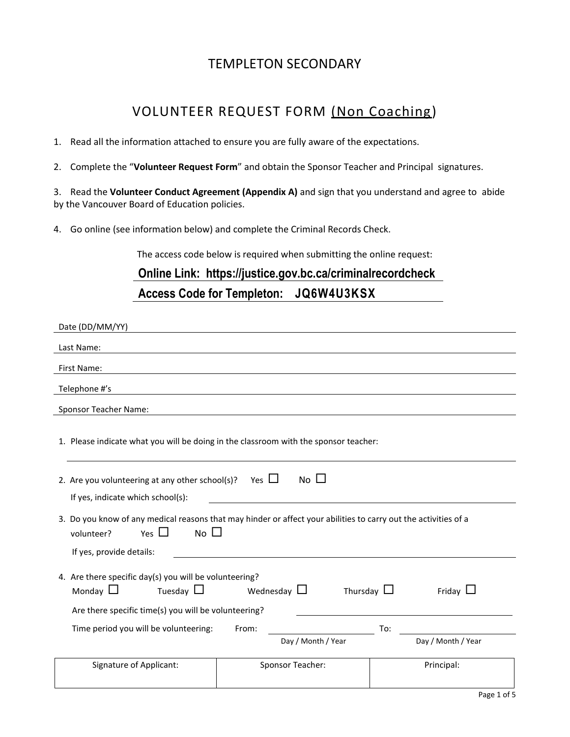### TEMPLETON SECONDARY

# VOLUNTEER REQUEST FORM (Non Coaching)

- 1. Read all the information attached to ensure you are fully aware of the expectations.
- 2. Complete the "**Volunteer Request Form**" and obtain the Sponsor Teacher and Principal signatures.

3. Read the **Volunteer Conduct Agreement (Appendix A)** and sign that you understand and agree to abide by the Vancouver Board of Education policies.

4. Go online (see information below) and complete the Criminal Records Check.

The access code below is required when submitting the online request:

# **Online Link: https://justice.gov.bc.ca/criminalrecordcheck Access Code for Templeton: JQ6W4U3KSX**

| Date (DD/MM/YY)                                                                                                                                                                         |                  |                    |     |                    |  |
|-----------------------------------------------------------------------------------------------------------------------------------------------------------------------------------------|------------------|--------------------|-----|--------------------|--|
| Last Name:                                                                                                                                                                              |                  |                    |     |                    |  |
| First Name:                                                                                                                                                                             |                  |                    |     |                    |  |
| Telephone #'s                                                                                                                                                                           |                  |                    |     |                    |  |
| <b>Sponsor Teacher Name:</b>                                                                                                                                                            |                  |                    |     |                    |  |
| 1. Please indicate what you will be doing in the classroom with the sponsor teacher:                                                                                                    |                  |                    |     |                    |  |
| No $\square$<br>2. Are you volunteering at any other school(s)? Yes $\Box$<br>If yes, indicate which school(s):                                                                         |                  |                    |     |                    |  |
| 3. Do you know of any medical reasons that may hinder or affect your abilities to carry out the activities of a<br>No $\square$<br>Yes $\Box$<br>volunteer?<br>If yes, provide details: |                  |                    |     |                    |  |
| 4. Are there specific day(s) you will be volunteering?<br>Tuesday $\Box$<br>Monday $\Box$<br>Wednesday $\Box$<br>Thursday $\Box$<br>Friday $\Box$                                       |                  |                    |     |                    |  |
| Are there specific time(s) you will be volunteering?<br>Time period you will be volunteering:                                                                                           | From:            |                    | To: |                    |  |
|                                                                                                                                                                                         |                  | Day / Month / Year |     | Day / Month / Year |  |
| <b>Signature of Applicant:</b>                                                                                                                                                          | Sponsor Teacher: |                    |     | Principal:         |  |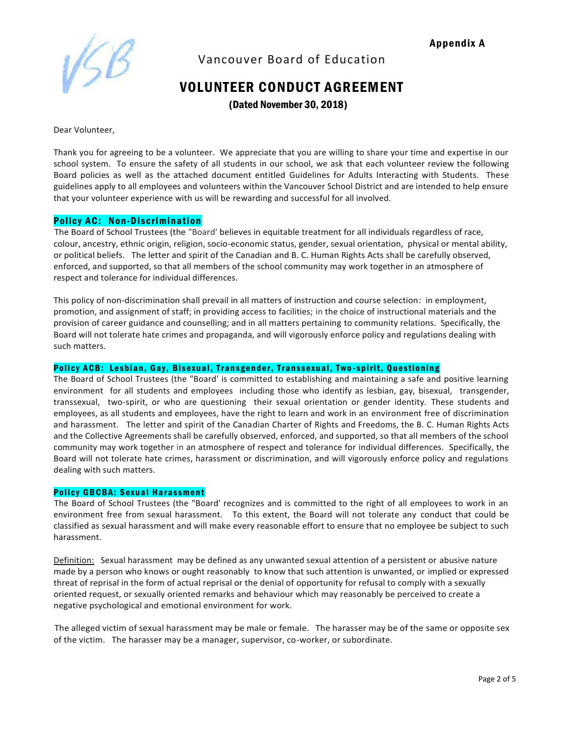Appendix A



Vancouver Board of Education

# VOLUNTEER CONDUCT AGREEMENT

(Dated November 30, 2018)

Dear Volunteer,

Thank you for agreeing to be a volunteer. We appreciate that you are willing to share your time and expertise in our school system. To ensure the safety of all students in our school, we ask that each volunteer review the following Board policies as well as the attached document entitled Guidelines for Adults Interacting with Students. These guidelines apply to all employees and volunteers within the Vancouver School District and are intended to help ensure that your volunteer experience with us will be rewarding and successful for all involved.

### Policy AC: Non-Discrimination

The Board of School Trustees (the "Board' believes in equitable treatment for all individuals regardless of race, colour, ancestry, ethnic origin, religion, socio-economic status, gender, sexual orientation, physical or mental ability, or political beliefs. The letter and spirit of the Canadian and B. C. Human Rights Acts shall be carefully observed, enforced, and supported, so that all members of the school community may work together in an atmosphere of respect and tolerance for individual differences.

This policy of non-discrimination shall prevail in all matters of instruction and course selection: in employment, promotion, and assignment of staff; in providing access to facilities; in the choice of instructional materials and the provision of career guidance and counselling; and in all matters pertaining to community relations. Specifically, the Board will not tolerate hate crimes and propaganda, and will vigorously enforce policy and regulations dealing with such matters.

#### Policy ACB: Lesbian, Gay, Bisexual, Transgender, Transsexual, Two-spirit, Questioning

The Board of School Trustees (the "Board' is committed to establishing and maintaining a safe and positive learning environment for all students and employees including those who identify as lesbian, gay, bisexual, transgender, transsexual, two-spirit, or who are questioning their sexual orientation or gender identity. These students and employees, as all students and employees, have the right to learn and work in an environment free of discrimination and harassment. The letter and spirit of the Canadian Charter of Rights and Freedoms, the B. C. Human Rights Acts and the Collective Agreements shall be carefully observed, enforced, and supported, so that all members of the school community may work together in an atmosphere of respect and tolerance for individual differences. Specifically, the Board will not tolerate hate crimes, harassment or discrimination, and will vigorously enforce policy and regulations dealing with such matters.

#### Policy GBCBA: Sexual Harassment

The Board of School Trustees (the "Board' recognizes and is committed to the right of all employees to work in an environment free from sexual harassment. To this extent, the Board will not tolerate any conduct that could be classified as sexual harassment and will make every reasonable effort to ensure that no employee be subject to such harassment.

Definition: Sexual harassment may be defined as any unwanted sexual attention of a persistent or abusive nature made by a person who knows or ought reasonably to know that such attention is unwanted, or implied or expressed threat of reprisal in the form of actual reprisal or the denial of opportunity for refusal to comply with a sexually oriented request, or sexually oriented remarks and behaviour which may reasonably be perceived to create a negative psychological and emotional environment for work.

The alleged victim of sexual harassment may be male or female. The harasser may be of the same or opposite sex of the victim. The harasser may be a manager, supervisor, co-worker, or subordinate.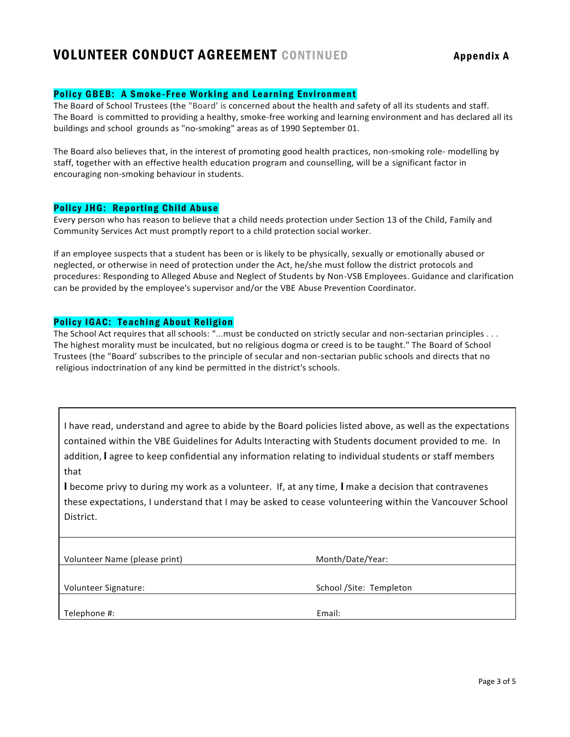## VOLUNTEER CONDUCT AGREEMENT CONTINUED Appendix A

### Policy GBEB: A Smoke-Free Working and Learning Environment

The Board of School Trustees (the "Board' is concerned about the health and safety of all its students and staff. The Board is committed to providing a healthy, smoke-free working and learning environment and has declared all its buildings and school grounds as "no-smoking" areas as of 1990 September 01.

The Board also believes that, in the interest of promoting good health practices, non-smoking role- modelling by staff, together with an effective health education program and counselling, will be a significant factor in encouraging non-smoking behaviour in students.

#### Policy JHG: Reporting Child Abuse

Every person who has reason to believe that a child needs protection under Section 13 of the Child, Family and Community Services Act must promptly report to a child protection social worker.

If an employee suspects that a student has been or is likely to be physically, sexually or emotionally abused or neglected, or otherwise in need of protection under the Act, he/she must follow the district protocols and procedures: Responding to Alleged Abuse and Neglect of Students by Non-VSB Employees. Guidance and clarification can be provided by the employee's supervisor and/or the VBE Abuse Prevention Coordinator.

### Policy IGAC: Teaching About Religion

The School Act requires that all schools: "...must be conducted on strictly secular and non-sectarian principles . . . The highest morality must be inculcated, but no religious dogma or creed is to be taught." The Board of School Trustees (the "Board' subscribes to the principle of secular and non-sectarian public schools and directs that no religious indoctrination of any kind be permitted in the district's schools.

I have read, understand and agree to abide by the Board policies listed above, as well as the expectations contained within the VBE Guidelines for Adults Interacting with Students document provided to me. In addition, I agree to keep confidential any information relating to individual students or staff members that

I become privy to during my work as a volunteer. If, at any time, I make a decision that contravenes these expectations, I understand that I may be asked to cease volunteering within the Vancouver School District.

| Volunteer Name (please print) | Month/Date/Year:         |
|-------------------------------|--------------------------|
| Volunteer Signature:          | School / Site: Templeton |
| Telephone #:                  | Email:                   |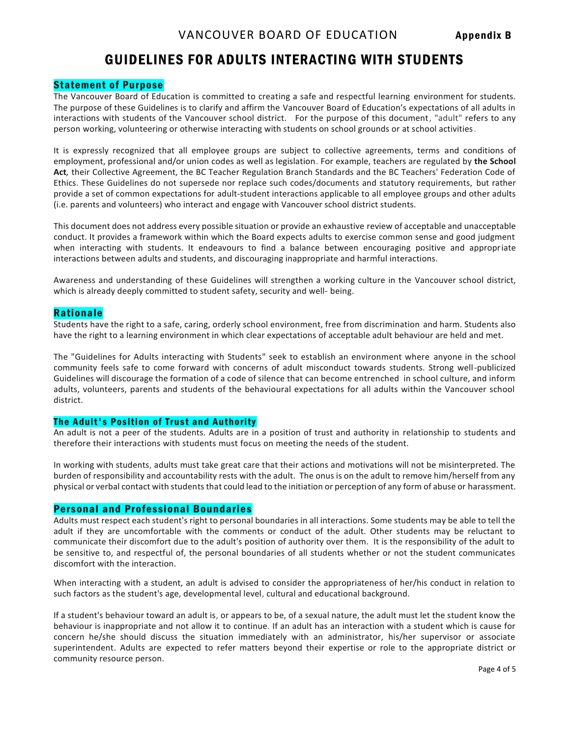## GUIDELINES FOR ADULTS INTERACTING WITH STUDENTS

### Statement of Purpose

The Vancouver Board of Education is committed to creating a safe and respectful learning environment for students. The purpose of these Guidelines is to clarify and affirm the Vancouver Board of Education's expectations of all adults in interactions with students of the Vancouver school district. For the purpose of this document, "adult" refers to any person working, volunteering or otherwise interacting with students on school grounds or at school activities.

It is expressly recognized that all employee groups are subject to collective agreements, terms and conditions of employment, professional and/or union codes as well as legislation. For example, teachers are regulated by **the School Act***,* their Collective Agreement, the BC Teacher Regulation Branch Standards and the BC Teachers' Federation Code of Ethics. These Guidelines do not supersede nor replace such codes/documents and statutory requirements, but rather provide a set of common expectations for adult-student interactions applicable to all employee groups and other adults (i.e. parents and volunteers) who interact and engage with Vancouver school district students.

This document does not address every possible situation or provide an exhaustive review of acceptable and unacceptable conduct. It provides a framework within which the Board expects adults to exercise common sense and good judgment when interacting with students. It endeavours to find a balance between encouraging positive and appropriate interactions between adults and students, and discouraging inappropriate and harmful interactions.

Awareness and understanding of these Guidelines will strengthen a working culture in the Vancouver school district, which is already deeply committed to student safety, security and well- being.

### Rationale

Students have the right to a safe, caring, orderly school environment, free from discrimination and harm. Students also have the right to a learning environment in which clear expectations of acceptable adult behaviour are held and met.

The "Guidelines for Adults interacting with Students" seek to establish an environment where anyone in the school community feels safe to come forward with concerns of adult misconduct towards students. Strong well-publicized Guidelines will discourage the formation of a code of silence that can become entrenched in school culture, and inform adults, volunteers, parents and students of the behavioural expectations for all adults within the Vancouver school district.

### The Adult's Position of Trust and Authority

An adult is not a peer of the students. Adults are in a position of trust and authority in relationship to students and therefore their interactions with students must focus on meeting the needs of the student.

In working with students, adults must take great care that their actions and motivations will not be misinterpreted. The burden of responsibility and accountability rests with the adult. The onus is on the adult to remove him/herself from any physical or verbal contact with students that could lead to the initiation or perception of any form of abuse or harassment.

### Personal and Professional Boundaries

Adults must respect each student's right to personal boundaries in all interactions. Some students may be able to tell the adult if they are uncomfortable with the comments or conduct of the adult. Other students may be reluctant to communicate their discomfort due to the adult's position of authority over them. It is the responsibility of the adult to be sensitive to, and respectful of, the personal boundaries of all students whether or not the student communicates discomfort with the interaction.

When interacting with a student, an adult is advised to consider the appropriateness of her/his conduct in relation to such factors as the student's age, developmental level, cultural and educational background.

If a student's behaviour toward an adult is, or appears to be, of a sexual nature, the adult must let the student know the behaviour is inappropriate and not allow it to continue. If an adult has an interaction with a student which is cause for concern he/she should discuss the situation immediately with an administrator, his/her supervisor or associate superintendent. Adults are expected to refer matters beyond their expertise or role to the appropriate district or community resource person.